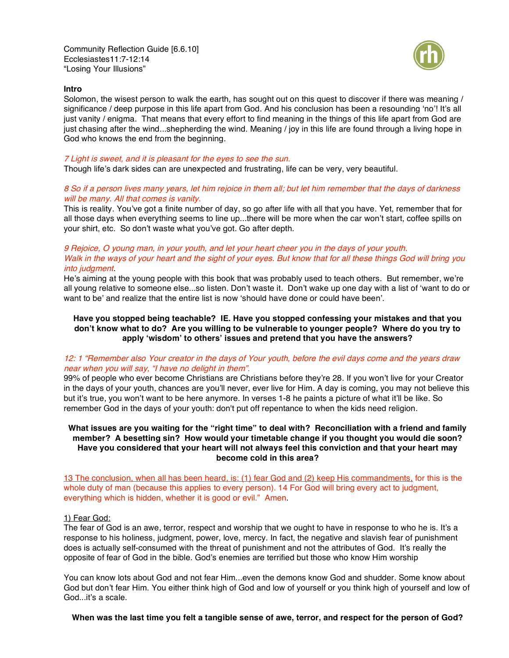Community Reflection Guide [6.6.10] Ecclesiastes11:7-12:14 "Losing Your Illusions"



#### **Intro**

Solomon, the wisest person to walk the earth, has sought out on this quest to discover if there was meaning / significance / deep purpose in this life apart from God. And his conclusion has been a resounding 'no'! It's all just vanity / enigma. That means that every effort to find meaning in the things of this life apart from God are just chasing after the wind...shepherding the wind. Meaning / joy in this life are found through a living hope in God who knows the end from the beginning.

#### 7 Light is sweet, and it is pleasant for the eyes to see the sun.

Though life's dark sides can are unexpected and frustrating, life can be very, very beautiful.

## 8 So if <sup>a</sup> person lives many years, let him rejoice in them all; but let him remember that the days of darkness will be many. All that comes is vanity.

This is reality. You've got a finite number of day, so go after life with all that you have. Yet, remember that for all those days when everything seems to line up...there will be more when the car won't start, coffee spills on your shirt, etc. So don't waste what you've got. Go after depth.

# 9 Rejoice, O young man, in your youth, and let your heart cheer you in the days of your youth. Walk in the ways of your heart and the sight of your eyes. But know that for all these things God will bring you into judgment.

He's aiming at the young people with this book that was probably used to teach others. But remember, we're all young relative to someone else...so listen. Don't waste it. Don't wake up one day with a list of 'want to do or want to be' and realize that the entire list is now 'should have done or could have been'.

# **Have you stopped being teachable? IE. Have you stopped confessing your mistakes and that you** don't know what to do? Are you willing to be vulnerable to younger people? Where do you try to **apply 'wisdom' to others' issues and pretend that you have the answers?**

## 12: 1 "Remember also Your creator in the days of Your youth, before the evil days come and the years draw near when you will say, "I have no delight in them".

99% of people who ever become Christians are Christians before they're 28. If you won't live for your Creator in the days of your youth, chances are you'll never, ever live for Him. A day is coming, you may not believe this but it's true, you won't want to be here anymore. In verses 1-8 he paints a picture of what it'll be like. So remember God in the days of your youth: don't put off repentance to when the kids need religion.

## What issues are you waiting for the "right time" to deal with? Reconciliation with a friend and family **member? A besetting sin? How would your timetable change if you thought you would die soon? Have you considered that your heart will not always feel this conviction and that your heart may become cold in this area?**

13 The conclusion, when all has been heard, is: (1) fear God and (2) keep His commandments, for this is the whole duty of man (because this applies to every person). 14 For God will bring every act to judgment, everything which is hidden, whether it is good or evil." Amen.

## 1) Fear God:

The fear of God is an awe, terror, respect and worship that we ought to have in response to who he is. It's a response to his holiness, judgment, power, love, mercy. In fact, the negative and slavish fear of punishment does is actually self-consumed with the threat of punishment and not the attributes of God. It's really the opposite of fear of God in the bible. God's enemies are terrified but those who know Him worship

You can know lots about God and not fear Him...even the demons know God and shudder. Some know about God but don't fear Him. You either think high of God and low of yourself or you think high of yourself and low of God...it's a scale.

When was the last time you felt a tangible sense of awe, terror, and respect for the person of God?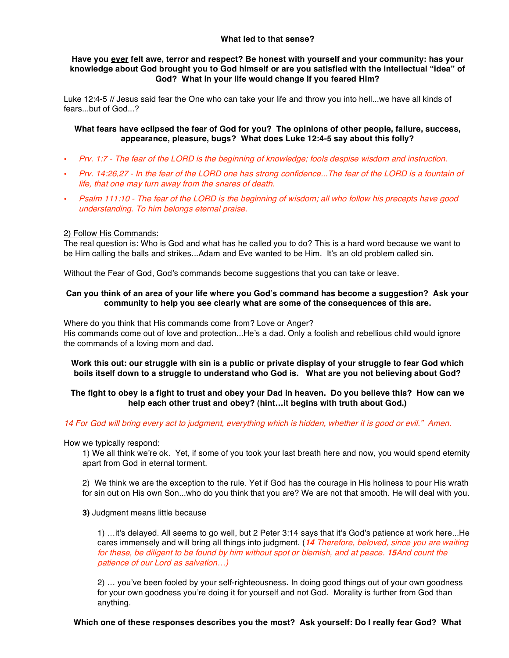## **What led to that sense?**

# **Have you ever felt awe, terror and respect? Be honest with yourself and your community: has your knowledge about God brought you to God himself or are you satisfied with the intellectual "idea" of God? What in your life would change if you feared Him?**

Luke 12:4-5 // Jesus said fear the One who can take your life and throw you into hell...we have all kinds of fears...but of God...?

# **What fears have eclipsed the fear of God for you? The opinions of other people, failure, success, appearance, pleasure, bugs? What does Luke 12:4-5 say about this folly?**

- Prv. 1:7 The fear of the LORD is the beginning of knowledge; fools despise wisdom and instruction.
- Prv. 14:26,27 In the fear of the LORD one has strong confidence...The fear of the LORD is <sup>a</sup> fountain of life, that one may turn away from the snares of death.
- Psalm 111:10 The fear of the LORD is the beginning of wisdom; all who follow his precepts have good understanding. To him belongs eternal praise.

## 2) Follow His Commands:

The real question is: Who is God and what has he called you to do? This is a hard word because we want to be Him calling the balls and strikes...Adam and Eve wanted to be Him. It's an old problem called sin.

Without the Fear of God, God's commands become suggestions that you can take or leave.

## Can you think of an area of your life where you God's command has become a suggestion? Ask your **community to help you see clearly what are some of the consequences of this are.**

#### Where do you think that His commands come from? Love or Anger?

His commands come out of love and protection...He's a dad. Only a foolish and rebellious child would ignore the commands of a loving mom and dad.

Work this out: our struggle with sin is a public or private display of your struggle to fear God which **boils itself down to a struggle to understand who God is. What are you not believing about God?**

# The fight to obey is a fight to trust and obey your Dad in heaven. Do you believe this? How can we **help each other trust and obey? (hint…it begins with truth about God.)**

#### 14 For God will bring every act to judgment, everything which is hidden, whether it is good or evil." Amen.

How we typically respond:

1) We all think we're ok. Yet, if some of you took your last breath here and now, you would spend eternity apart from God in eternal torment.

2) We think we are the exception to the rule. Yet if God has the courage in His holiness to pour His wrath for sin out on His own Son...who do you think that you are? We are not that smooth. He will deal with you.

**3)** Judgment means little because

1) …it's delayed. All seems to go well, but 2 Peter 3:14 says that it's God's patience at work here...He cares immensely and will bring all things into judgment. (**14** Therefore, beloved, since you are waiting for these, be diligent to be found by him without spot or blemish, and at peace. **15**And count the patience of our Lord as salvation…)

2) … you've been fooled by your self-righteousness. In doing good things out of your own goodness for your own goodness you're doing it for yourself and not God. Morality is further from God than anything.

## **Which one of these responses describes you the most? Ask yourself: Do I really fear God? What**